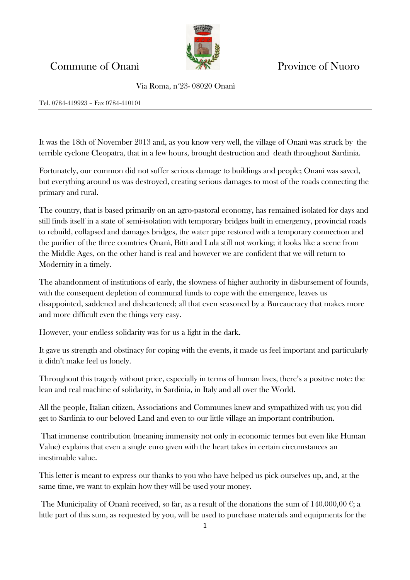## Commune of Onanì Province of Nuoro

Via Roma, n°23- 08020 Onanì

## Tel. 0784-419923 – Fax 0784-410101

It was the 18th of November 2013 and, as you know very well, the village of Onanì was struck by the terrible cyclone Cleopatra, that in a few hours, brought destruction and death throughout Sardinia.

Fortunately, our common did not suffer serious damage to buildings and people; Onanì was saved, but everything around us was destroyed, creating serious damages to most of the roads connecting the primary and rural.

The country, that is based primarily on an agro-pastoral economy, has remained isolated for days and still finds itself in a state of semi-isolation with temporary bridges built in emergency, provincial roads to rebuild, collapsed and damages bridges, the water pipe restored with a temporary connection and the purifier of the three countries Onanì, Bitti and Lula still not working; it looks like a scene from the Middle Ages, on the other hand is real and however we are confident that we will return to Modernity in a timely.

The abandonment of institutions of early, the slowness of higher authority in disbursement of founds, with the consequent depletion of communal funds to cope with the emergence, leaves us disappointed, saddened and disheartened; all that even seasoned by a Bureaucracy that makes more and more difficult even the things very easy.

However, your endless solidarity was for us a light in the dark.

It gave us strength and obstinacy for coping with the events, it made us feel important and particularly it didn't make feel us lonely.

Throughout this tragedy without price, especially in terms of human lives, there's a positive note: the lean and real machine of solidarity, in Sardinia, in Italy and all over the World.

All the people, Italian citizen, Associations and Communes knew and sympathized with us; you did get to Sardinia to our beloved Land and even to our little village an important contribution.

That immense contribution (meaning immensity not only in economic termes but even like Human Value) explains that even a single euro given with the heart takes in certain circumstances an inestimable value.

This letter is meant to express our thanks to you who have helped us pick ourselves up, and, at the same time, we want to explain how they will be used your money.

The Municipality of Onanì received, so far, as a result of the donations the sum of  $140.000,00 \in \mathfrak{g}$ little part of this sum, as requested by you, will be used to purchase materials and equipments for the